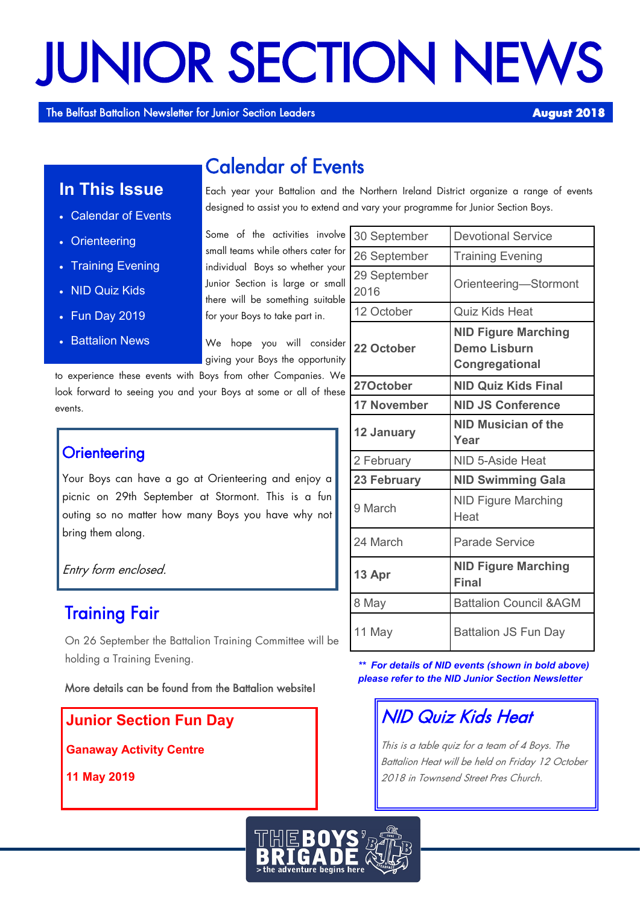# JUNIOR SECTION NEWS

The Belfast Battalion Newsletter for Junior Section Leaders **August 2018** 

# Calendar of Events

**In This Issue**

- Calendar of Events
- Orienteering
- Training Evening
- NID Quiz Kids
- Fun Day 2019
- **Battalion News**

Each year your Battalion and the Northern Ireland District organize a range of events designed to assist you to extend and vary your programme for Junior Section Boys.

Some of the activities involve small teams while others cater for individual Boys so whether your Junior Section is large or small there will be something suitable for your Boys to take part in.

We hope you will consider giving your Boys the opportunity

to experience these events with Boys from other Companies. We look forward to seeing you and your Boys at some or all of these events.

## **Orienteering**

Your Boys can have a go at Orienteering and enjoy a picnic on 29th September at Stormont. This is a fun outing so no matter how many Boys you have why not bring them along.

Entry form enclosed.

## Training Fair

On 26 September the Battalion Training Committee will be holding a Training Evening.

More details can be found from the Battalion website!

**Junior Section Fun Day**

**Ganaway Activity Centre**

**11 May 2019**

| 30 September         | <b>Devotional Service</b>                                           |
|----------------------|---------------------------------------------------------------------|
| 26 September         | <b>Training Evening</b>                                             |
| 29 September<br>2016 | Orienteering-Stormont                                               |
| 12 October           | <b>Quiz Kids Heat</b>                                               |
| 22 October           | <b>NID Figure Marching</b><br><b>Demo Lisburn</b><br>Congregational |
| 27October            | <b>NID Quiz Kids Final</b>                                          |
| <b>17 November</b>   | <b>NID JS Conference</b>                                            |
| 12 January           | NID Musician of the<br>Year                                         |
| 2 February           | NID 5-Aside Heat                                                    |
| 23 February          | <b>NID Swimming Gala</b>                                            |
| 9 March              | <b>NID Figure Marching</b><br>Heat                                  |
| 24 March             | <b>Parade Service</b>                                               |
| 13 Apr               | <b>NID Figure Marching</b><br><b>Final</b>                          |
| 8 May                | <b>Battalion Council &amp; AGM</b>                                  |
| 11 May               | <b>Battalion JS Fun Day</b>                                         |

*\*\* For details of NID events (shown in bold above) please refer to the NID Junior Section Newsletter*

## NID Quiz Kids Heat

This is a table quiz for a team of 4 Boys. The Battalion Heat will be held on Friday 12 October 2018 in Townsend Street Pres Church.